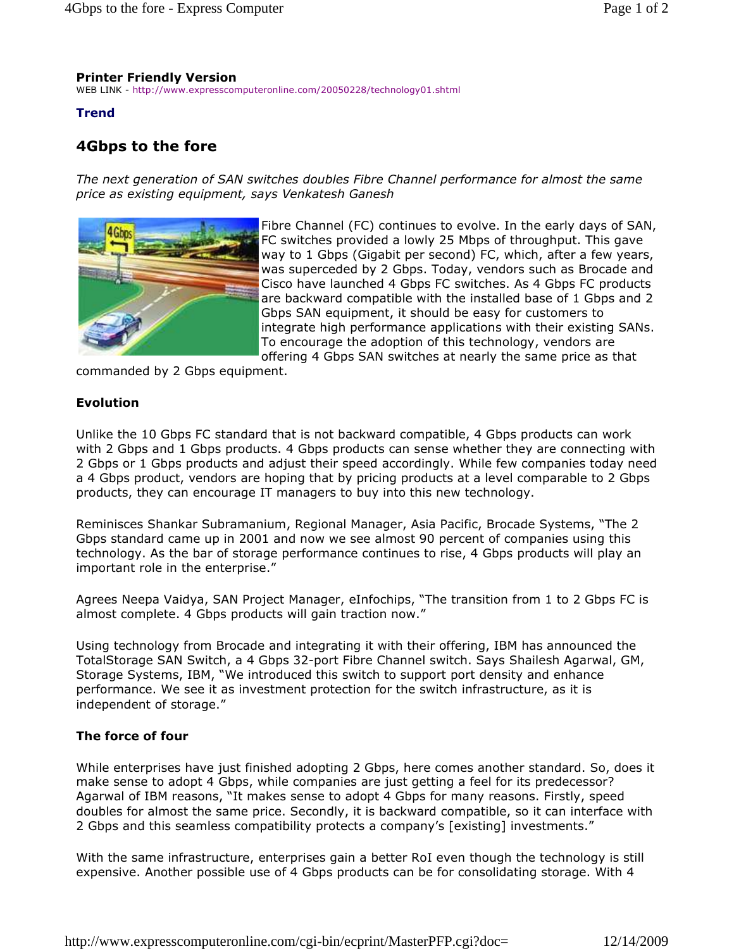# **Printer Friendly Version**

WEB LINK - http://www.expresscomputeronline.com/20050228/technology01.shtml

# **Trend**

# **4Gbps to the fore**

*The next generation of SAN switches doubles Fibre Channel performance for almost the same price as existing equipment, says Venkatesh Ganesh* 



Fibre Channel (FC) continues to evolve. In the early days of SAN, FC switches provided a lowly 25 Mbps of throughput. This gave way to 1 Gbps (Gigabit per second) FC, which, after a few years, was superceded by 2 Gbps. Today, vendors such as Brocade and Cisco have launched 4 Gbps FC switches. As 4 Gbps FC products are backward compatible with the installed base of 1 Gbps and 2 Gbps SAN equipment, it should be easy for customers to integrate high performance applications with their existing SANs. To encourage the adoption of this technology, vendors are offering 4 Gbps SAN switches at nearly the same price as that

commanded by 2 Gbps equipment.

## **Evolution**

Unlike the 10 Gbps FC standard that is not backward compatible, 4 Gbps products can work with 2 Gbps and 1 Gbps products. 4 Gbps products can sense whether they are connecting with 2 Gbps or 1 Gbps products and adjust their speed accordingly. While few companies today need a 4 Gbps product, vendors are hoping that by pricing products at a level comparable to 2 Gbps products, they can encourage IT managers to buy into this new technology.

Reminisces Shankar Subramanium, Regional Manager, Asia Pacific, Brocade Systems, "The 2 Gbps standard came up in 2001 and now we see almost 90 percent of companies using this technology. As the bar of storage performance continues to rise, 4 Gbps products will play an important role in the enterprise."

Agrees Neepa Vaidya, SAN Project Manager, eInfochips, "The transition from 1 to 2 Gbps FC is almost complete. 4 Gbps products will gain traction now."

Using technology from Brocade and integrating it with their offering, IBM has announced the TotalStorage SAN Switch, a 4 Gbps 32-port Fibre Channel switch. Says Shailesh Agarwal, GM, Storage Systems, IBM, "We introduced this switch to support port density and enhance performance. We see it as investment protection for the switch infrastructure, as it is independent of storage."

### **The force of four**

While enterprises have just finished adopting 2 Gbps, here comes another standard. So, does it make sense to adopt 4 Gbps, while companies are just getting a feel for its predecessor? Agarwal of IBM reasons, "It makes sense to adopt 4 Gbps for many reasons. Firstly, speed doubles for almost the same price. Secondly, it is backward compatible, so it can interface with 2 Gbps and this seamless compatibility protects a company's [existing] investments."

With the same infrastructure, enterprises gain a better RoI even though the technology is still expensive. Another possible use of 4 Gbps products can be for consolidating storage. With 4